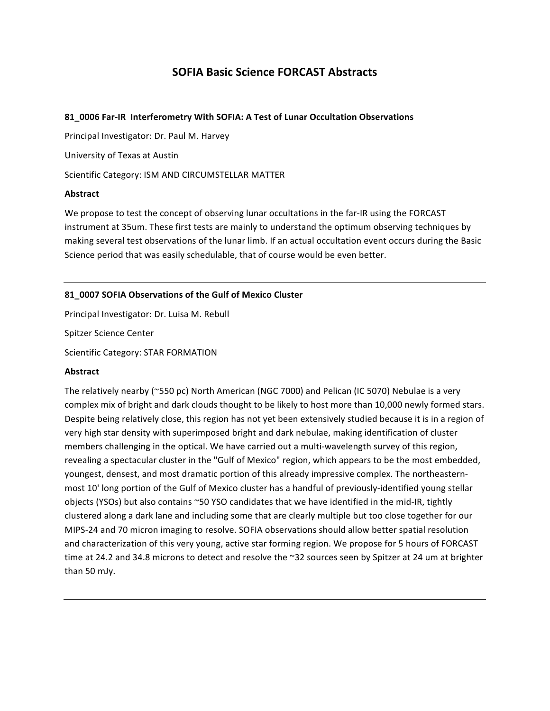# **SOFIA Basic Science FORCAST Abstracts**

#### **81\_0006&Far9IR& Interferometry&With&SOFIA:&A&Test&of&Lunar Occultation&Observations**

Principal Investigator: Dr. Paul M. Harvey

University of Texas at Austin

Scientific Category: ISM AND CIRCUMSTELLAR MATTER

#### **Abstract**

We propose to test the concept of observing lunar occultations in the far-IR using the FORCAST instrument at 35um. These first tests are mainly to understand the optimum observing techniques by making several test observations of the lunar limb. If an actual occultation event occurs during the Basic Science period that was easily schedulable, that of course would be even better.

## 81\_0007 SOFIA Observations of the Gulf of Mexico Cluster

Principal Investigator: Dr. Luisa M. Rebull Spitzer Science Center Scientific Category: STAR FORMATION

#### **Abstract**

The relatively nearby (~550 pc) North American (NGC 7000) and Pelican (IC 5070) Nebulae is a very complex mix of bright and dark clouds thought to be likely to host more than 10,000 newly formed stars. Despite being relatively close, this region has not yet been extensively studied because it is in a region of very high star density with superimposed bright and dark nebulae, making identification of cluster members challenging in the optical. We have carried out a multi-wavelength survey of this region, revealing a spectacular cluster in the "Gulf of Mexico" region, which appears to be the most embedded, youngest, densest, and most dramatic portion of this already impressive complex. The northeasternmost 10' long portion of the Gulf of Mexico cluster has a handful of previously-identified young stellar objects (YSOs) but also contains  $\sim$  50 YSO candidates that we have identified in the mid-IR, tightly clustered along a dark lane and including some that are clearly multiple but too close together for our MIPS-24 and 70 micron imaging to resolve. SOFIA observations should allow better spatial resolution and characterization of this very young, active star forming region. We propose for 5 hours of FORCAST time at 24.2 and 34.8 microns to detect and resolve the ~32 sources seen by Spitzer at 24 um at brighter than 50 mJy.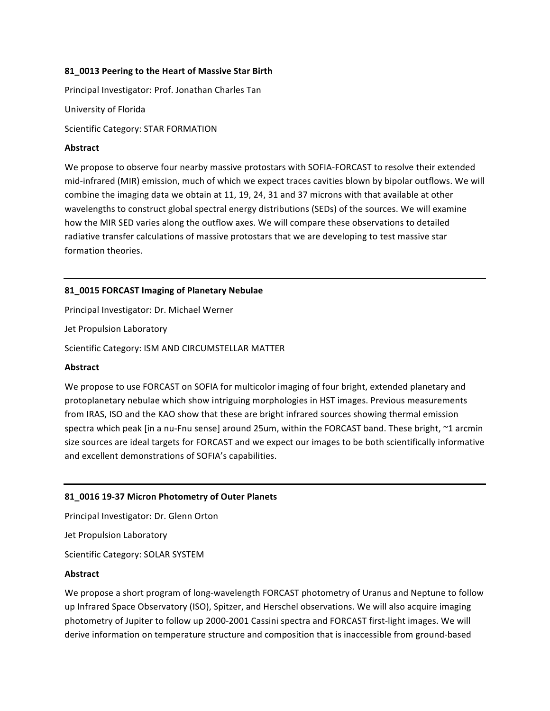#### 81 0013 Peering to the Heart of Massive Star Birth

Principal Investigator: Prof. Jonathan Charles Tan

University of Florida

Scientific Category: STAR FORMATION

#### **Abstract**

We propose to observe four nearby massive protostars with SOFIA-FORCAST to resolve their extended mid-infrared (MIR) emission, much of which we expect traces cavities blown by bipolar outflows. We will combine the imaging data we obtain at 11, 19, 24, 31 and 37 microns with that available at other wavelengths to construct global spectral energy distributions (SEDs) of the sources. We will examine how the MIR SED varies along the outflow axes. We will compare these observations to detailed radiative transfer calculations of massive protostars that we are developing to test massive star formation theories.

## 81\_0015 FORCAST Imaging of Planetary Nebulae

Principal Investigator: Dr. Michael Werner Jet Propulsion Laboratory Scientific Category: ISM AND CIRCUMSTELLAR MATTER

## **Abstract**

We propose to use FORCAST on SOFIA for multicolor imaging of four bright, extended planetary and protoplanetary nebulae which show intriguing morphologies in HST images. Previous measurements from IRAS, ISO and the KAO show that these are bright infrared sources showing thermal emission spectra which peak [in a nu-Fnu sense] around 25um, within the FORCAST band. These bright, ~1 arcmin size sources are ideal targets for FORCAST and we expect our images to be both scientifically informative and excellent demonstrations of SOFIA's capabilities.

## 81\_0016 19-37 Micron Photometry of Outer Planets

Principal Investigator: Dr. Glenn Orton

Jet Propulsion Laboratory

Scientific Category: SOLAR SYSTEM

#### **Abstract**

We propose a short program of long-wavelength FORCAST photometry of Uranus and Neptune to follow up Infrared Space Observatory (ISO), Spitzer, and Herschel observations. We will also acquire imaging photometry of Jupiter to follow up 2000-2001 Cassini spectra and FORCAST first-light images. We will derive information on temperature structure and composition that is inaccessible from ground-based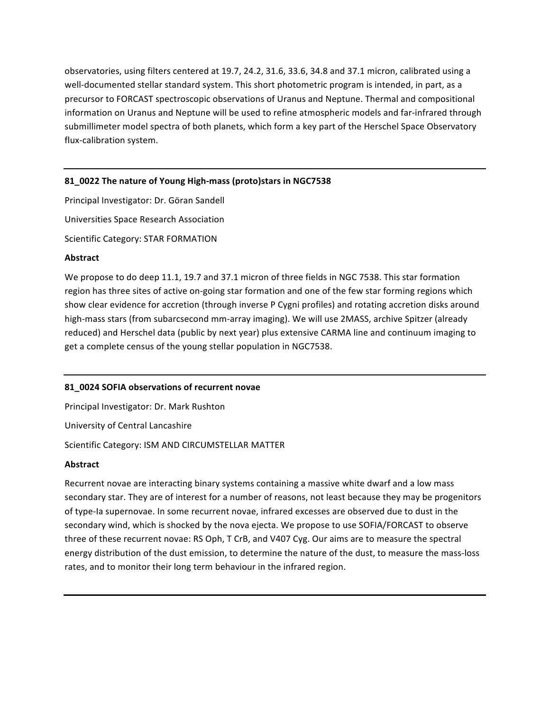observatories, using filters centered at 19.7, 24.2, 31.6, 33.6, 34.8 and 37.1 micron, calibrated using a well-documented stellar standard system. This short photometric program is intended, in part, as a precursor to FORCAST spectroscopic observations of Uranus and Neptune. Thermal and compositional information on Uranus and Neptune will be used to refine atmospheric models and far-infrared through submillimeter model spectra of both planets, which form a key part of the Herschel Space Observatory flux-calibration system.

## 81\_0022 The nature of Young High-mass (proto)stars in NGC7538

Principal Investigator: Dr. Göran Sandell Universities Space Research Association Scientific Category: STAR FORMATION

#### **Abstract**

We propose to do deep 11.1, 19.7 and 37.1 micron of three fields in NGC 7538. This star formation region has three sites of active on-going star formation and one of the few star forming regions which show clear evidence for accretion (through inverse P Cygni profiles) and rotating accretion disks around high-mass stars (from subarcsecond mm-array imaging). We will use 2MASS, archive Spitzer (already) reduced) and Herschel data (public by next year) plus extensive CARMA line and continuum imaging to get a complete census of the young stellar population in NGC7538.

#### 81\_0024 SOFIA observations of recurrent novae

Principal Investigator: Dr. Mark Rushton

University of Central Lancashire

Scientific Category: ISM AND CIRCUMSTELLAR MATTER

## **Abstract**

Recurrent novae are interacting binary systems containing a massive white dwarf and a low mass secondary star. They are of interest for a number of reasons, not least because they may be progenitors of type-Ia supernovae. In some recurrent novae, infrared excesses are observed due to dust in the secondary wind, which is shocked by the nova ejecta. We propose to use SOFIA/FORCAST to observe three of these recurrent novae: RS Oph, T CrB, and V407 Cyg. Our aims are to measure the spectral energy distribution of the dust emission, to determine the nature of the dust, to measure the mass-loss rates, and to monitor their long term behaviour in the infrared region.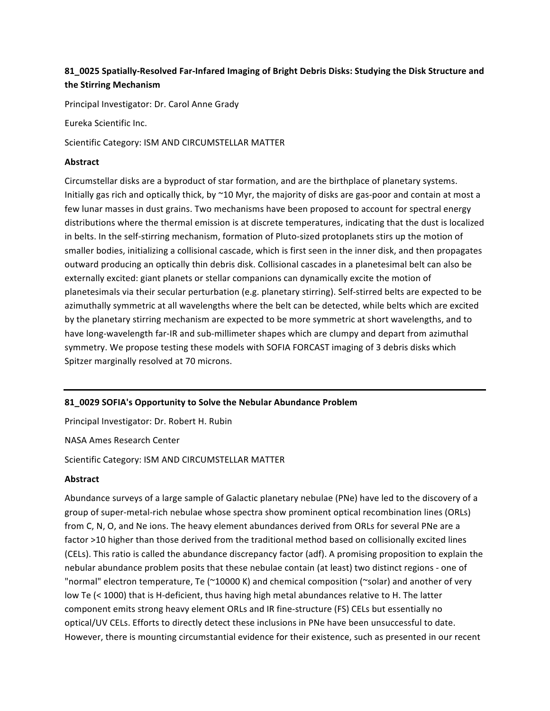# **81\_0025&Spatially9Resolved&Far9Infared&Imaging&of&Bright&Debris Disks:&Studying&the&Disk&Structure&and& the&Stirring Mechanism**

Principal Investigator: Dr. Carol Anne Grady

Eureka Scientific Inc.

Scientific Category: ISM AND CIRCUMSTELLAR MATTER

## **Abstract**

Circumstellar disks are a byproduct of star formation, and are the birthplace of planetary systems. Initially gas rich and optically thick, by  $\sim$ 10 Myr, the majority of disks are gas-poor and contain at most a few lunar masses in dust grains. Two mechanisms have been proposed to account for spectral energy distributions where the thermal emission is at discrete temperatures, indicating that the dust is localized in)belts. In the self-stirring mechanism, formation of Pluto-sized protoplanets stirs up the motion of smaller bodies, initializing a collisional cascade, which is first seen in the inner disk, and then propagates outward producing an optically thin debris disk. Collisional cascades in a planetesimal belt can also be externally excited: giant planets or stellar companions can dynamically excite the motion of planetesimals via their secular perturbation (e.g. planetary stirring). Self-stirred belts are expected to be azimuthally symmetric at all wavelengths where the belt can be detected, while belts which are excited by the planetary stirring mechanism are expected to be more symmetric at short wavelengths, and to have long-wavelength far-IR and sub-millimeter shapes which are clumpy and depart from azimuthal symmetry. We propose testing these models with SOFIA FORCAST imaging of 3 debris disks which Spitzer marginally resolved at 70 microns.

# **81\_0029&SOFIA's&Opportunity&to&Solve&the&Nebular&Abundance Problem**

Principal Investigator: Dr. Robert H. Rubin

NASA Ames Research Center

Scientific Category: ISM AND CIRCUMSTELLAR MATTER

# **Abstract**

Abundance surveys of a large sample of Galactic planetary nebulae (PNe) have led to the discovery of a group of super-metal-rich nebulae whose spectra show prominent optical recombination lines (ORLs) from C, N, O, and Ne ions. The heavy element abundances derived from ORLs for several PNe are a factor >10 higher than those derived from the traditional method based on collisionally excited lines (CELs). This ratio is called the abundance discrepancy factor (adf). A promising proposition to explain the nebular abundance problem posits that these nebulae contain (at least) two distinct regions - one of "normal" electron temperature, Te (~10000 K) and chemical composition (~solar) and another of very low Te (< 1000) that is H-deficient, thus having high metal abundances relative to H. The latter component emits strong heavy element ORLs and IR fine-structure (FS) CELs but essentially no optical/UV CELs. Efforts to directly detect these inclusions in PNe have been unsuccessful to date. However, there is mounting circumstantial evidence for their existence, such as presented in our recent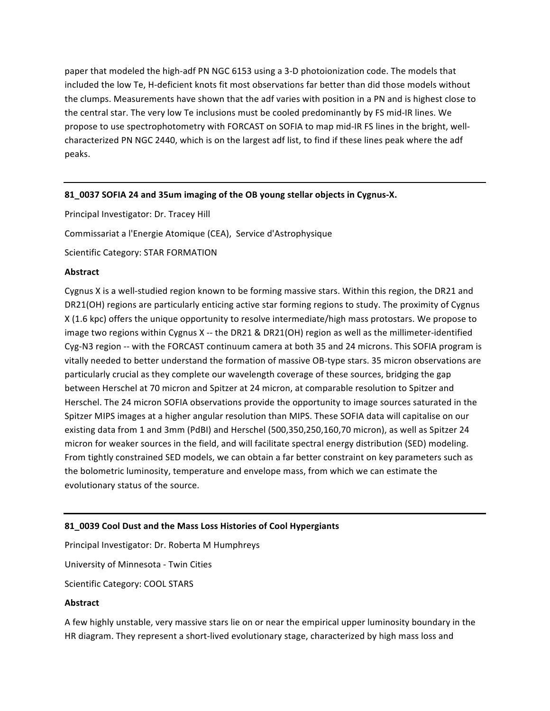paper that modeled the high-adf PN NGC 6153 using a 3-D photoionization code. The models that included the low Te, H-deficient knots fit most observations far better than did those models without the clumps. Measurements have shown that the adf varies with position in a PN and is highest close to the central star. The very low Te inclusions must be cooled predominantly by FS mid-IR lines. We propose to use spectrophotometry with FORCAST on SOFIA to map mid-IR FS lines in the bright, wellcharacterized PN NGC 2440, which is on the largest adf list, to find if these lines peak where the adf peaks.

## 81\_0037 SOFIA 24 and 35um imaging of the OB young stellar objects in Cygnus-X.

Principal Investigator: Dr. Tracey Hill

Commissariat a l'Energie Atomique (CEA), Service d'Astrophysique

Scientific Category: STAR FORMATION

#### **Abstract**

Cygnus X is a well-studied region known to be forming massive stars. Within this region, the DR21 and DR21(OH) regions are particularly enticing active star forming regions to study. The proximity of Cygnus  $X$  (1.6 kpc) offers the unique opportunity to resolve intermediate/high mass protostars. We propose to image two regions within Cygnus X -- the DR21 & DR21(OH) region as well as the millimeter-identified Cyg-N3 region -- with the FORCAST continuum camera at both 35 and 24 microns. This SOFIA program is vitally needed to better understand the formation of massive OB-type stars. 35 micron observations are particularly crucial as they complete our wavelength coverage of these sources, bridging the gap between Herschel at 70 micron and Spitzer at 24 micron, at comparable resolution to Spitzer and Herschel. The 24 micron SOFIA observations provide the opportunity to image sources saturated in the Spitzer MIPS images at a higher angular resolution than MIPS. These SOFIA data will capitalise on our existing data from 1 and 3mm (PdBI) and Herschel (500,350,250,160,70 micron), as well as Spitzer 24 micron for weaker sources in the field, and will facilitate spectral energy distribution (SED) modeling. From tightly constrained SED models, we can obtain a far better constraint on key parameters such as the bolometric luminosity, temperature and envelope mass, from which we can estimate the evolutionary status of the source.

## 81 0039 Cool Dust and the Mass Loss Histories of Cool Hypergiants

Principal Investigator: Dr. Roberta M Humphreys

University of Minnesota - Twin Cities

Scientific Category: COOL STARS

## **Abstract**

A few highly unstable, very massive stars lie on or near the empirical upper luminosity boundary in the HR diagram. They represent a short-lived evolutionary stage, characterized by high mass loss and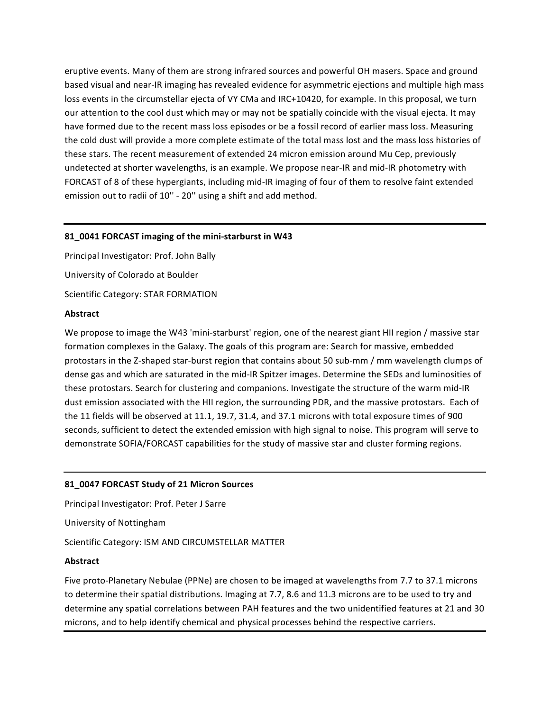eruptive events. Many of them are strong infrared sources and powerful OH masers. Space and ground based visual and near-IR imaging has revealed evidence for asymmetric ejections and multiple high mass loss events in the circumstellar ejecta of VY CMa and IRC+10420, for example. In this proposal, we turn our attention to the cool dust which may or may not be spatially coincide with the visual ejecta. It may have formed due to the recent mass loss episodes or be a fossil record of earlier mass loss. Measuring the cold dust will provide a more complete estimate of the total mass lost and the mass loss histories of these stars. The recent measurement of extended 24 micron emission around Mu Cep, previously undetected at shorter wavelengths, is an example. We propose near-IR and mid-IR photometry with FORCAST of 8 of these hypergiants, including mid-IR imaging of four of them to resolve faint extended emission out to radii of 10" - 20" using a shift and add method.

## 81\_0041 FORCAST imaging of the mini-starburst in W43

Principal Investigator: Prof. John Bally University of Colorado at Boulder Scientific Category: STAR FORMATION

#### **Abstract**

We propose to image the W43 'mini-starburst' region, one of the nearest giant HII region / massive star formation complexes in the Galaxy. The goals of this program are: Search for massive, embedded protostars in the Z-shaped star-burst region that contains about 50 sub-mm / mm wavelength clumps of dense gas and which are saturated in the mid-IR Spitzer images. Determine the SEDs and luminosities of these protostars. Search for clustering and companions. Investigate the structure of the warm mid-IR dust emission associated with the HII region, the surrounding PDR, and the massive protostars. Each of the 11 fields will be observed at 11.1, 19.7, 31.4, and 37.1 microns with total exposure times of 900 seconds, sufficient to detect the extended emission with high signal to noise. This program will serve to demonstrate SOFIA/FORCAST capabilities for the study of massive star and cluster forming regions.

## 81\_0047 FORCAST Study of 21 Micron Sources

Principal Investigator: Prof. Peter J Sarre University of Nottingham Scientific Category: ISM AND CIRCUMSTELLAR MATTER

## **Abstract**

Five proto-Planetary Nebulae (PPNe) are chosen to be imaged at wavelengths from 7.7 to 37.1 microns to determine their spatial distributions. Imaging at 7.7, 8.6 and 11.3 microns are to be used to try and determine any spatial correlations between PAH features and the two unidentified features at 21 and 30 microns, and to help identify chemical and physical processes behind the respective carriers.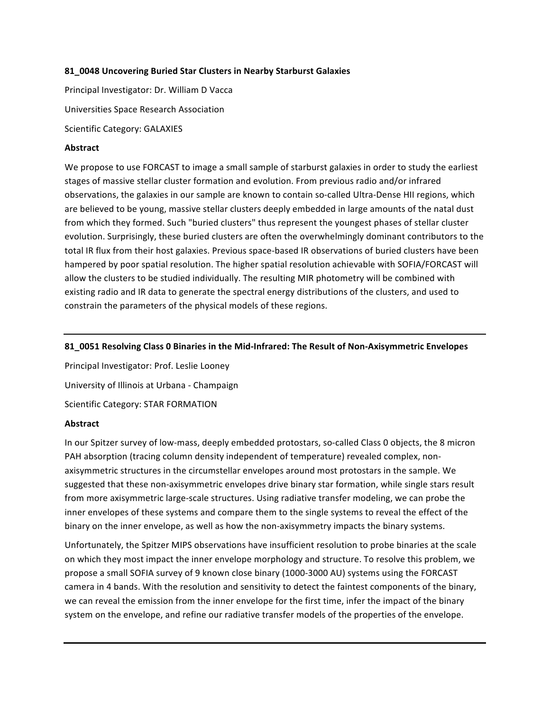#### **81\_0048&Uncovering&Buried&Star&Clusters&in&Nearby&Starburst&Galaxies**

Principal Investigator: Dr. William D Vacca Universities Space Research Association Scientific Category: GALAXIES

#### **Abstract**

We propose to use FORCAST to image a small sample of starburst galaxies in order to study the earliest stages of massive stellar cluster formation and evolution. From previous radio and/or infrared observations, the galaxies in our sample are known to contain so-called Ultra-Dense HII regions, which are believed to be young, massive stellar clusters deeply embedded in large amounts of the natal dust from which they formed. Such "buried clusters" thus represent the youngest phases of stellar cluster evolution. Surprisingly, these buried clusters are often the overwhelmingly dominant contributors to the total IR flux from their host galaxies. Previous space-based IR observations of buried clusters have been hampered by poor spatial resolution. The higher spatial resolution achievable with SOFIA/FORCAST will allow the clusters to be studied individually. The resulting MIR photometry will be combined with existing radio and IR data to generate the spectral energy distributions of the clusters, and used to constrain the parameters of the physical models of these regions.

#### **81\_0051&Resolving&Class&0&Binaries&in&the&Mid9Infrared:&The&Result&of Non9Axisymmetric&Envelopes**

Principal Investigator: Prof. Leslie Looney University of Illinois at Urbana - Champaign Scientific Category: STAR FORMATION

#### **Abstract**

In our Spitzer survey of low-mass, deeply embedded protostars, so-called Class 0 objects, the 8 micron PAH absorption (tracing column density independent of temperature) revealed complex, nonaxisymmetric structures in the circumstellar envelopes around most protostars in the sample. We suggested that these non-axisymmetric envelopes drive binary star formation, while single stars result from more axisymmetric large-scale structures. Using radiative transfer modeling, we can probe the inner envelopes of these systems and compare them to the single systems to reveal the effect of the binary on the inner envelope, as well as how the non-axisymmetry impacts the binary systems.

Unfortunately, the Spitzer MIPS observations have insufficient resolution to probe binaries at the scale on which they most impact the inner envelope morphology and structure. To resolve this problem, we propose a small SOFIA survey of 9 known close binary (1000-3000 AU) systems using the FORCAST camera in 4 bands. With the resolution and sensitivity to detect the faintest components of the binary, we can reveal the emission from the inner envelope for the first time, infer the impact of the binary system on the envelope, and refine our radiative transfer models of the properties of the envelope.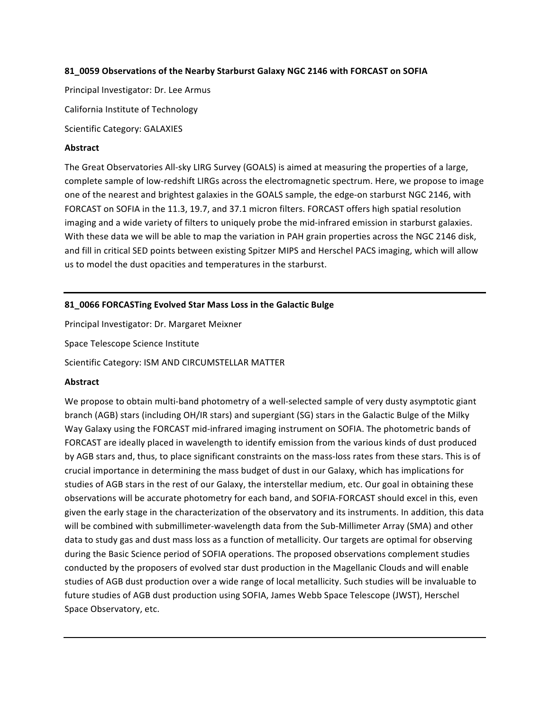## **81\_0059&Observations&of&the&Nearby&Starburst&Galaxy&NGC&2146&with FORCAST&on&SOFIA**

Principal Investigator: Dr. Lee Armus

California Institute of Technology

Scientific Category: GALAXIES

# **Abstract**

The Great Observatories All-sky LIRG Survey (GOALS) is aimed at measuring the properties of a large, complete sample of low-redshift LIRGs across the electromagnetic spectrum. Here, we propose to image one of the nearest and brightest galaxies in the GOALS sample, the edge-on starburst NGC 2146, with FORCAST on SOFIA in the 11.3, 19.7, and 37.1 micron filters. FORCAST offers high spatial resolution imaging and a wide variety of filters to uniquely probe the mid-infrared emission in starburst galaxies. With these data we will be able to map the variation in PAH grain properties across the NGC 2146 disk, and fill in critical SED points between existing Spitzer MIPS and Herschel PACS imaging, which will allow us to model the dust opacities and temperatures in the starburst.

# **81\_0066&FORCASTing&Evolved&Star&Mass&Loss&in&the&Galactic&Bulge**

Principal Investigator: Dr. Margaret Meixner

Space Telescope Science Institute

Scientific Category: ISM AND CIRCUMSTELLAR MATTER

# **Abstract**

We propose to obtain multi-band photometry of a well-selected sample of very dusty asymptotic giant branch (AGB) stars (including OH/IR stars) and supergiant (SG) stars in the Galactic Bulge of the Milky Way Galaxy using the FORCAST mid-infrared imaging instrument on SOFIA. The photometric bands of FORCAST are ideally placed in wavelength to identify emission from the various kinds of dust produced by AGB stars and, thus, to place significant constraints on the mass-loss rates from these stars. This is of crucial importance in determining the mass budget of dust in our Galaxy, which has implications for studies of AGB stars in the rest of our Galaxy, the interstellar medium, etc. Our goal in obtaining these observations will be accurate photometry for each band, and SOFIA-FORCAST should excel in this, even given the early stage in the characterization of the observatory and its instruments. In addition, this data will be combined with submillimeter-wavelength data from the Sub-Millimeter Array (SMA) and other data to study gas and dust mass loss as a function of metallicity. Our targets are optimal for observing during the Basic Science period of SOFIA operations. The proposed observations complement studies conducted by the proposers of evolved star dust production in the Magellanic Clouds and will enable studies of AGB dust production over a wide range of local metallicity. Such studies will be invaluable to future studies of AGB dust production using SOFIA, James Webb Space Telescope (JWST), Herschel Space Observatory, etc.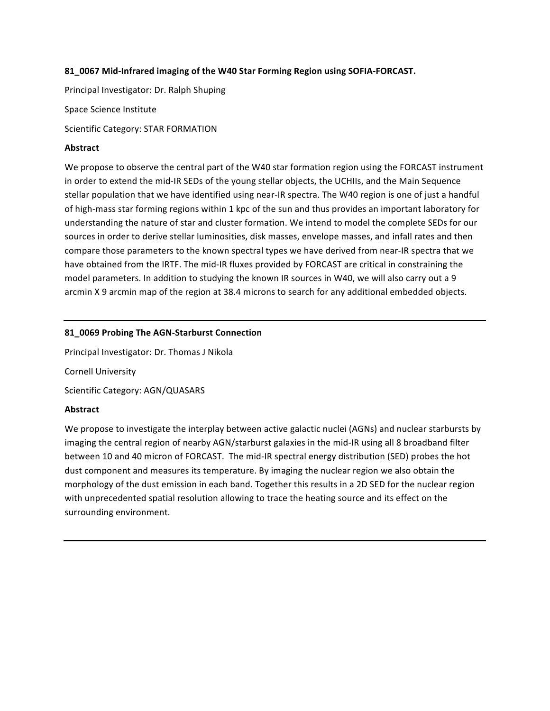## 81\_0067 Mid-Infrared imaging of the W40 Star Forming Region using SOFIA-FORCAST.

Principal Investigator: Dr. Ralph Shuping

Space Science Institute

Scientific Category: STAR FORMATION

## **Abstract**

We propose to observe the central part of the W40 star formation region using the FORCAST instrument in order to extend the mid-IR SEDs of the young stellar objects, the UCHIIs, and the Main Sequence stellar population that we have identified using near-IR spectra. The W40 region is one of just a handful of high-mass star forming regions within 1 kpc of the sun and thus provides an important laboratory for understanding the nature of star and cluster formation. We intend to model the complete SEDs for our sources in order to derive stellar luminosities, disk masses, envelope masses, and infall rates and then compare those parameters to the known spectral types we have derived from near-IR spectra that we have obtained from the IRTF. The mid-IR fluxes provided by FORCAST are critical in constraining the model parameters. In addition to studying the known IR sources in W40, we will also carry out a 9 arcmin X 9 arcmin map of the region at 38.4 microns to search for any additional embedded objects.

## 81 0069 Probing The AGN-Starburst Connection

Principal Investigator: Dr. Thomas J Nikola

Cornell University

Scientific Category: AGN/QUASARS

## **Abstract**

We propose to investigate the interplay between active galactic nuclei (AGNs) and nuclear starbursts by imaging the central region of nearby AGN/starburst galaxies in the mid-IR using all 8 broadband filter between 10 and 40 micron of FORCAST. The mid-IR spectral energy distribution (SED) probes the hot dust component and measures its temperature. By imaging the nuclear region we also obtain the morphology of the dust emission in each band. Together this results in a 2D SED for the nuclear region with unprecedented spatial resolution allowing to trace the heating source and its effect on the surrounding environment.